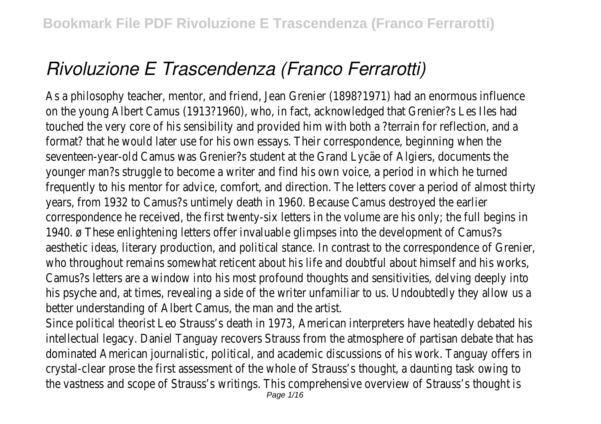# *Rivoluzione E Trascendenza (Franco Ferrarotti)*

As a philosophy teacher, mentor, and friend, Jean Grenier (1898?1971) had an enormous infl on the young Albert Camus (1913?1960), who, in fact, acknowledged that Grenier?s Les Ile touched the very core of his sensibility and provided him with both a ?terrain for reflection, format? that he would later use for his own essays. Their correspondence, beginning when seventeen-year-old Camus was Grenier?s student at the Grand Lycäe of Algiers, document younger man?s struggle to become a writer and find his own voice, a period in which he t frequently to his mentor for advice, comfort, and direction. The letters cover a period of almost years, from 1932 to Camus?s untimely death in 1960. Because Camus destroyed the  $\epsilon$ correspondence he received, the first twenty-six letters in the volume are his only; the full begins 1940. ø These enlightening letters offer invaluable glimpses into the development of Car aesthetic ideas, literary production, and political stance. In contrast to the correspondence of Gr who throughout remains somewhat reticent about his life and doubtful about himself and his Camus?s letters are a window into his most profound thoughts and sensitivities, delving deep his psyche and, at times, revealing a side of the writer unfamiliar to us. Undoubtedly they allow better understanding of Albert Camus, the man and the ar

Since political theorist Leo Strauss's death in 1973, American interpreters have heatedly debat intellectual legacy. Daniel Tanguay recovers Strauss from the atmosphere of partisan debate that dominated American journalistic, political, and academic discussions of his work. Tanguay offer crystal-clear prose the first assessment of the whole of Strauss's thought, a daunting task ov the vastness and scope of Strauss's writings. This comprehensive overview of Strauss's thought is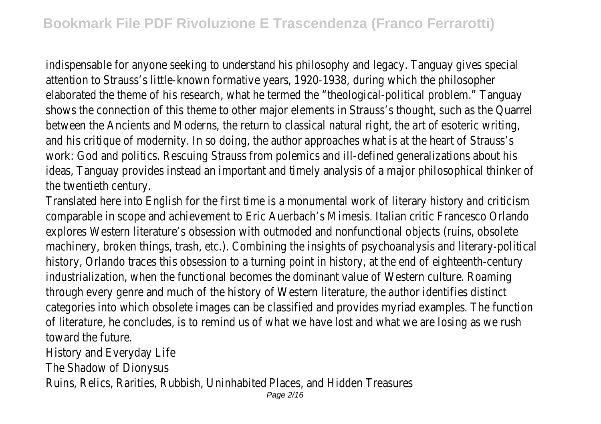indispensable for anyone seeking to understand his philosophy and legacy. Tanguay gives special attention to Strauss's little-known formative years, 1920-1938, during which the philos elaborated the theme of his research, what he termed the "theological-political problem." Tanguay shows the connection of this theme to other major elements in Strauss's thought, such as the Quarrell between the Ancients and Moderns, the return to classical natural right, the art of esoteric v and his critique of modernity. In so doing, the author approaches what is at the heart of Str work: God and politics. Rescuing Strauss from polemics and ill-defined generalizations about ideas. Tanguay provides instead an important and timely analysis of a major philosophical think the twentieth centur

Translated here into English for the first time is a monumental work of literary history and criticians. comparable in scope and achievement to Eric Auerbach's Mimesis. Italian critic Francesco Orlando explores Western literature's obsession with outmoded and nonfunctional objects (ruins, obs machinery, broken things, trash, etc.). Combining the insights of psychoanalysis and literary-political history, Orlando traces this obsession to a turning point in history, at the end of eighteenth-c industrialization, when the functional becomes the dominant value of Western culture. Roa through every genre and much of the history of Western literature, the author identifies d categories into which obsolete images can be classified and provides myriad examples. The fur of literature, he concludes, is to remind us of what we have lost and what we are losing as w toward the future.

History and Everyday Lif

The Shadow of Dionysu

Ruins, Relics, Rarities, Rubbish, Uninhabited Places, and Hidden Treasures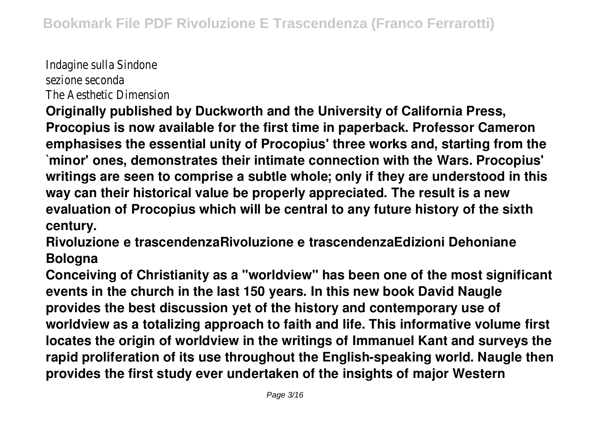Indagine sulla Sindone sezione seconda The Aesthetic Dimension

**Originally published by Duckworth and the University of California Press, Procopius is now available for the first time in paperback. Professor Cameron emphasises the essential unity of Procopius' three works and, starting from the `minor' ones, demonstrates their intimate connection with the Wars. Procopius' writings are seen to comprise a subtle whole; only if they are understood in this way can their historical value be properly appreciated. The result is a new evaluation of Procopius which will be central to any future history of the sixth century.**

**Rivoluzione e trascendenzaRivoluzione e trascendenzaEdizioni Dehoniane Bologna**

**Conceiving of Christianity as a "worldview" has been one of the most significant events in the church in the last 150 years. In this new book David Naugle provides the best discussion yet of the history and contemporary use of worldview as a totalizing approach to faith and life. This informative volume first locates the origin of worldview in the writings of Immanuel Kant and surveys the rapid proliferation of its use throughout the English-speaking world. Naugle then provides the first study ever undertaken of the insights of major Western**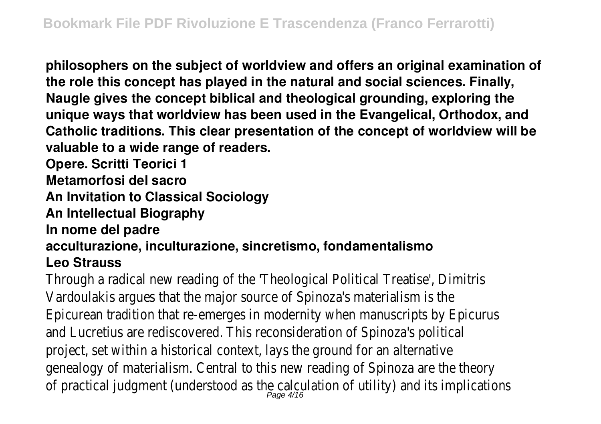**philosophers on the subject of worldview and offers an original examination of the role this concept has played in the natural and social sciences. Finally, Naugle gives the concept biblical and theological grounding, exploring the unique ways that worldview has been used in the Evangelical, Orthodox, and Catholic traditions. This clear presentation of the concept of worldview will be valuable to a wide range of readers.**

**Opere. Scritti Teorici 1**

**Metamorfosi del sacro**

**An Invitation to Classical Sociology**

**An Intellectual Biography**

**In nome del padre**

**acculturazione, inculturazione, sincretismo, fondamentalismo**

### **Leo Strauss**

Through a radical new reading of the 'Theological Political Treatise', Dimitris Vardoulakis argues that the major source of Spinoza's materialism is the Epicurean tradition that re-emerges in modernity when manuscripts by Epicurus and Lucretius are rediscovered. This reconsideration of Spinoza's political project, set within a historical context, lays the ground for an alternative genealogy of materialism. Central to this new reading of Spinoza are the theory of practical judgment (understood as the calculation of utility) and its implica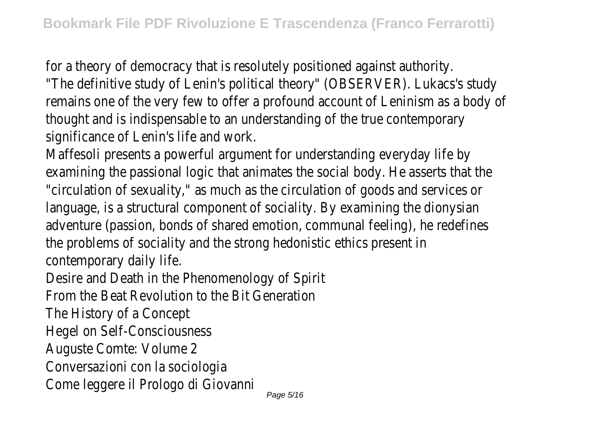for a theory of democracy that is resolutely positioned against authority. "The definitive study of Lenin's political theory" (OBSERVER). Lukacs's study remains one of the very few to offer a profound account of Leninism as a body of thought and is indispensable to an understanding of the true contemporary significance of Lenin's life and work.

Maffesoli presents a powerful argument for understanding everyday life by examining the passional logic that animates the social body. He asserts that the "circulation of sexuality," as much as the circulation of goods and services or language, is a structural component of sociality. By examining the dionysian adventure (passion, bonds of shared emotion, communal feeling), he redefines the problems of sociality and the strong hedonistic ethics present in contemporary daily life.

Desire and Death in the Phenomenology of Spirit

From the Beat Revolution to the Bit Generation

The History of a Concept

Hegel on Self-Consciousness

Auguste Comte: Volume 2

Conversazioni con la sociologia

Come leggere il Prologo di Giovanni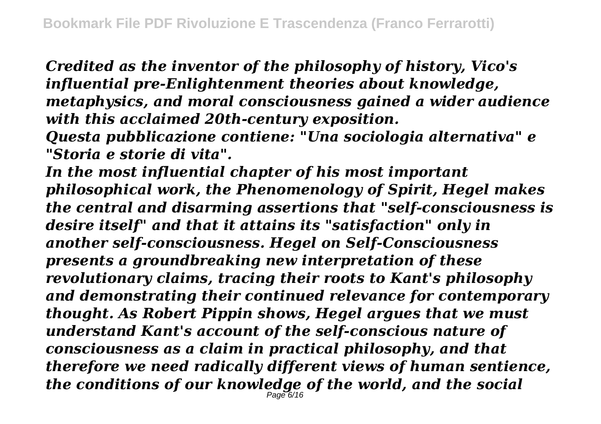*Credited as the inventor of the philosophy of history, Vico's influential pre-Enlightenment theories about knowledge, metaphysics, and moral consciousness gained a wider audience with this acclaimed 20th-century exposition.*

*Questa pubblicazione contiene: "Una sociologia alternativa" e "Storia e storie di vita".*

*In the most influential chapter of his most important philosophical work, the Phenomenology of Spirit, Hegel makes the central and disarming assertions that "self-consciousness is desire itself" and that it attains its "satisfaction" only in another self-consciousness. Hegel on Self-Consciousness presents a groundbreaking new interpretation of these revolutionary claims, tracing their roots to Kant's philosophy and demonstrating their continued relevance for contemporary thought. As Robert Pippin shows, Hegel argues that we must understand Kant's account of the self-conscious nature of consciousness as a claim in practical philosophy, and that therefore we need radically different views of human sentience, the conditions of our knowledge of the world, and the social* Page 6/16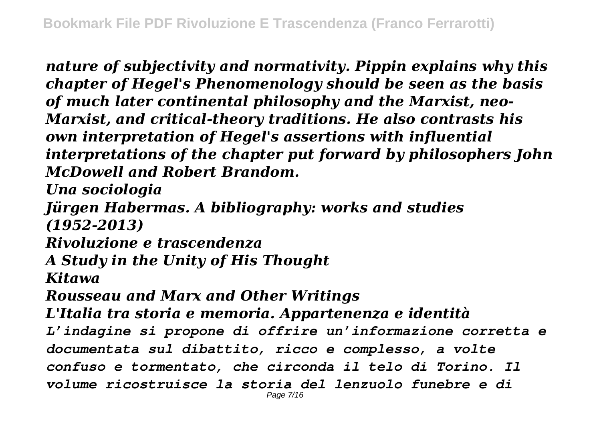*nature of subjectivity and normativity. Pippin explains why this chapter of Hegel's Phenomenology should be seen as the basis of much later continental philosophy and the Marxist, neo-Marxist, and critical-theory traditions. He also contrasts his own interpretation of Hegel's assertions with influential interpretations of the chapter put forward by philosophers John McDowell and Robert Brandom.*

*Una sociologia*

*Jürgen Habermas. A bibliography: works and studies (1952-2013)*

*Rivoluzione e trascendenza*

*A Study in the Unity of His Thought*

*Kitawa*

*Rousseau and Marx and Other Writings*

*L'Italia tra storia e memoria. Appartenenza e identità*

*L'indagine si propone di offrire un'informazione corretta e documentata sul dibattito, ricco e complesso, a volte confuso e tormentato, che circonda il telo di Torino. Il volume ricostruisce la storia del lenzuolo funebre e di* Page 7/16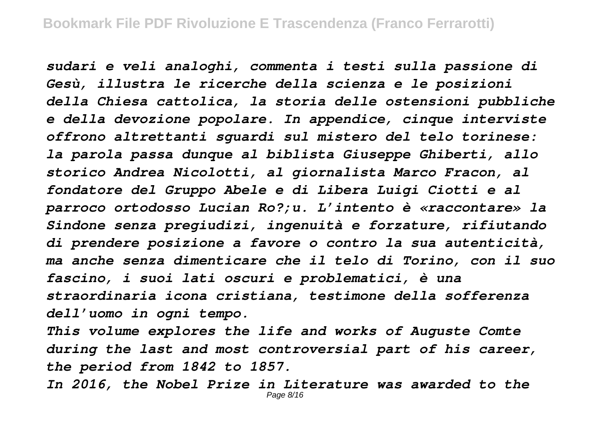*sudari e veli analoghi, commenta i testi sulla passione di Gesù, illustra le ricerche della scienza e le posizioni della Chiesa cattolica, la storia delle ostensioni pubbliche e della devozione popolare. In appendice, cinque interviste offrono altrettanti sguardi sul mistero del telo torinese: la parola passa dunque al biblista Giuseppe Ghiberti, allo storico Andrea Nicolotti, al giornalista Marco Fracon, al fondatore del Gruppo Abele e di Libera Luigi Ciotti e al parroco ortodosso Lucian Ro?;u. L'intento è «raccontare» la Sindone senza pregiudizi, ingenuità e forzature, rifiutando di prendere posizione a favore o contro la sua autenticità, ma anche senza dimenticare che il telo di Torino, con il suo fascino, i suoi lati oscuri e problematici, è una straordinaria icona cristiana, testimone della sofferenza dell'uomo in ogni tempo.*

*This volume explores the life and works of Auguste Comte during the last and most controversial part of his career, the period from 1842 to 1857.*

*In 2016, the Nobel Prize in Literature was awarded to the* Page 8/16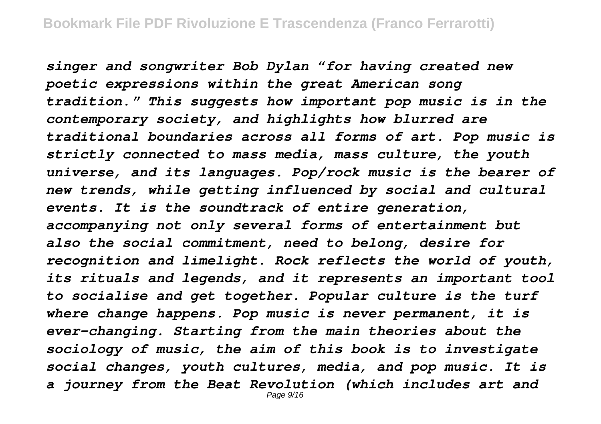*singer and songwriter Bob Dylan "for having created new poetic expressions within the great American song tradition." This suggests how important pop music is in the contemporary society, and highlights how blurred are traditional boundaries across all forms of art. Pop music is strictly connected to mass media, mass culture, the youth universe, and its languages. Pop/rock music is the bearer of new trends, while getting influenced by social and cultural events. It is the soundtrack of entire generation, accompanying not only several forms of entertainment but also the social commitment, need to belong, desire for recognition and limelight. Rock reflects the world of youth, its rituals and legends, and it represents an important tool to socialise and get together. Popular culture is the turf where change happens. Pop music is never permanent, it is ever-changing. Starting from the main theories about the sociology of music, the aim of this book is to investigate social changes, youth cultures, media, and pop music. It is a journey from the Beat Revolution (which includes art and* Page 9/16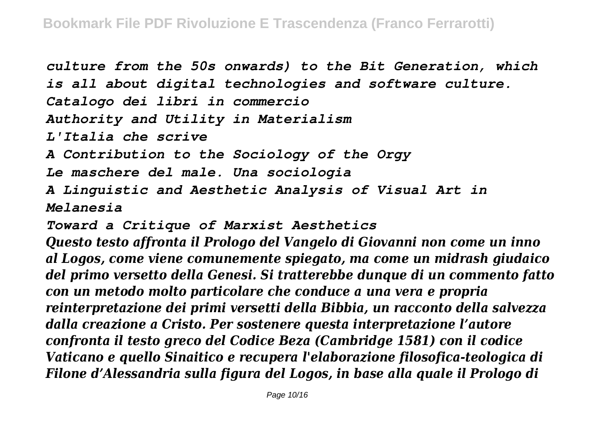*culture from the 50s onwards) to the Bit Generation, which is all about digital technologies and software culture. Catalogo dei libri in commercio Authority and Utility in Materialism L'Italia che scrive A Contribution to the Sociology of the Orgy Le maschere del male. Una sociologia A Linguistic and Aesthetic Analysis of Visual Art in Melanesia Toward a Critique of Marxist Aesthetics Questo testo affronta il Prologo del Vangelo di Giovanni non come un inno*

*al Logos, come viene comunemente spiegato, ma come un midrash giudaico del primo versetto della Genesi. Si tratterebbe dunque di un commento fatto con un metodo molto particolare che conduce a una vera e propria reinterpretazione dei primi versetti della Bibbia, un racconto della salvezza dalla creazione a Cristo. Per sostenere questa interpretazione l'autore confronta il testo greco del Codice Beza (Cambridge 1581) con il codice Vaticano e quello Sinaitico e recupera l'elaborazione filosofica-teologica di Filone d'Alessandria sulla figura del Logos, in base alla quale il Prologo di*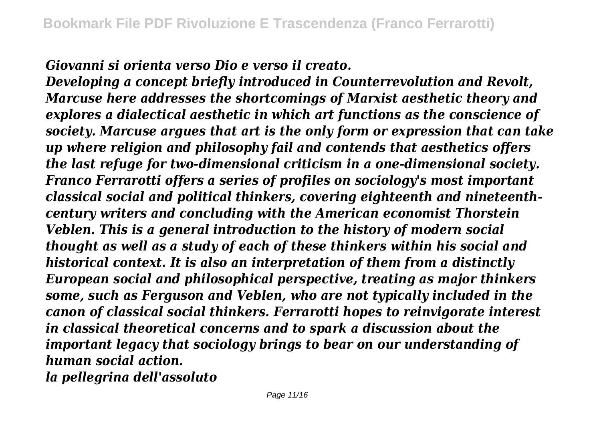*Giovanni si orienta verso Dio e verso il creato.*

*Developing a concept briefly introduced in Counterrevolution and Revolt, Marcuse here addresses the shortcomings of Marxist aesthetic theory and explores a dialectical aesthetic in which art functions as the conscience of society. Marcuse argues that art is the only form or expression that can take up where religion and philosophy fail and contends that aesthetics offers the last refuge for two-dimensional criticism in a one-dimensional society. Franco Ferrarotti offers a series of profiles on sociology's most important classical social and political thinkers, covering eighteenth and nineteenthcentury writers and concluding with the American economist Thorstein Veblen. This is a general introduction to the history of modern social thought as well as a study of each of these thinkers within his social and historical context. It is also an interpretation of them from a distinctly European social and philosophical perspective, treating as major thinkers some, such as Ferguson and Veblen, who are not typically included in the canon of classical social thinkers. Ferrarotti hopes to reinvigorate interest in classical theoretical concerns and to spark a discussion about the important legacy that sociology brings to bear on our understanding of human social action.*

*la pellegrina dell'assoluto*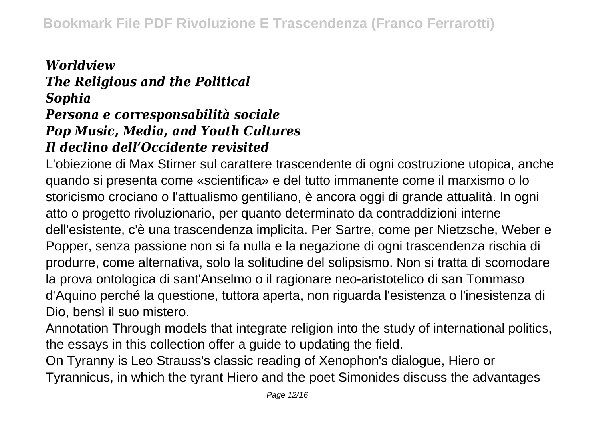## *Worldview The Religious and the Political Sophia*

#### *Persona e corresponsabilità sociale Pop Music, Media, and Youth Cultures Il declino dell'Occidente revisited*

L'obiezione di Max Stirner sul carattere trascendente di ogni costruzione utopica, anche quando si presenta come «scientifica» e del tutto immanente come il marxismo o lo storicismo crociano o l'attualismo gentiliano, è ancora oggi di grande attualità. In ogni atto o progetto rivoluzionario, per quanto determinato da contraddizioni interne dell'esistente, c'è una trascendenza implicita. Per Sartre, come per Nietzsche, Weber e Popper, senza passione non si fa nulla e la negazione di ogni trascendenza rischia di produrre, come alternativa, solo la solitudine del solipsismo. Non si tratta di scomodare la prova ontologica di sant'Anselmo o il ragionare neo-aristotelico di san Tommaso d'Aquino perché la questione, tuttora aperta, non riguarda l'esistenza o l'inesistenza di Dio, bensì il suo mistero.

Annotation Through models that integrate religion into the study of international politics, the essays in this collection offer a guide to updating the field.

On Tyranny is Leo Strauss's classic reading of Xenophon's dialogue, Hiero or Tyrannicus, in which the tyrant Hiero and the poet Simonides discuss the advantages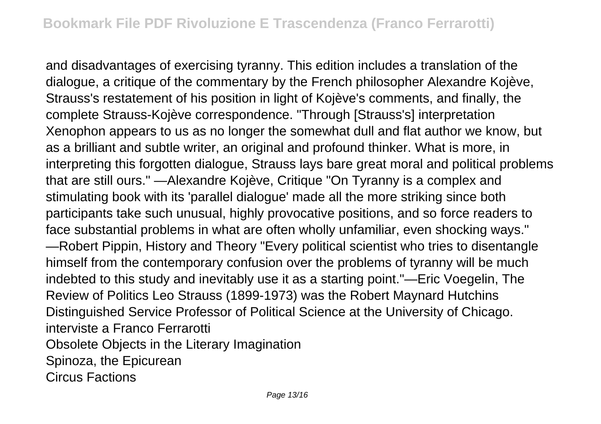and disadvantages of exercising tyranny. This edition includes a translation of the dialogue, a critique of the commentary by the French philosopher Alexandre Kojève, Strauss's restatement of his position in light of Kojève's comments, and finally, the complete Strauss-Kojève correspondence. "Through [Strauss's] interpretation Xenophon appears to us as no longer the somewhat dull and flat author we know, but as a brilliant and subtle writer, an original and profound thinker. What is more, in interpreting this forgotten dialogue, Strauss lays bare great moral and political problems that are still ours." —Alexandre Kojève, Critique "On Tyranny is a complex and stimulating book with its 'parallel dialogue' made all the more striking since both participants take such unusual, highly provocative positions, and so force readers to face substantial problems in what are often wholly unfamiliar, even shocking ways." —Robert Pippin, History and Theory "Every political scientist who tries to disentangle himself from the contemporary confusion over the problems of tyranny will be much indebted to this study and inevitably use it as a starting point."—Eric Voegelin, The Review of Politics Leo Strauss (1899-1973) was the Robert Maynard Hutchins Distinguished Service Professor of Political Science at the University of Chicago. interviste a Franco Ferrarotti Obsolete Objects in the Literary Imagination Spinoza, the Epicurean Circus Factions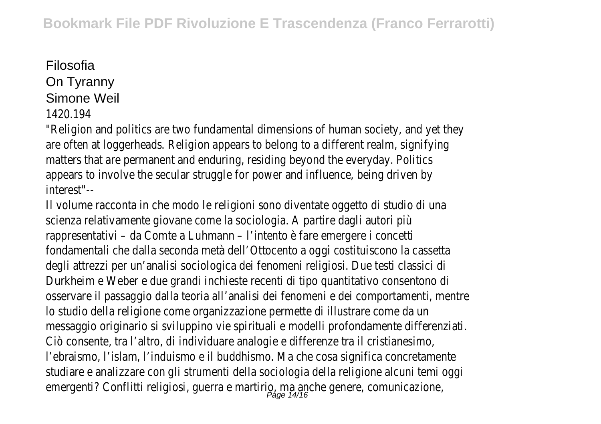## Filosofia

On Tyranny

### Simone Weil

#### 1420.194

"Religion and politics are two fundamental dimensions of human society, and yet they are often at loggerheads. Religion appears to belong to a different realm, signifying matters that are permanent and enduring, residing beyond the everyday. Politics appears to involve the secular struggle for power and influence, being driven by interest"--

Il volume racconta in che modo le religioni sono diventate oggetto di studio di una scienza relativamente giovane come la sociologia. A partire dagli autori più rappresentativi – da Comte a Luhmann – l'intento è fare emergere i concetti fondamentali che dalla seconda metà dell'Ottocento a oggi costituiscono la cassetta degli attrezzi per un'analisi sociologica dei fenomeni religiosi. Due testi classici di Durkheim e Weber e due grandi inchieste recenti di tipo quantitativo consentono di osservare il passaggio dalla teoria all'analisi dei fenomeni e dei comportamenti, mentre lo studio della religione come organizzazione permette di illustrare come da un messaggio originario si sviluppino vie spirituali e modelli profondamente differenziati. Ciò consente, tra l'altro, di individuare analogie e differenze tra il cristianesimo, l'ebraismo, l'islam, l'induismo e il buddhismo. Ma che cosa significa concretamente studiare e analizzare con gli strumenti della sociologia della religione alcuni temi oggi emergenti? Conflitti religiosi, guerra e martirio, ma anche genere, comunicazione, and anche genere, comunicaz<br>Page 14/16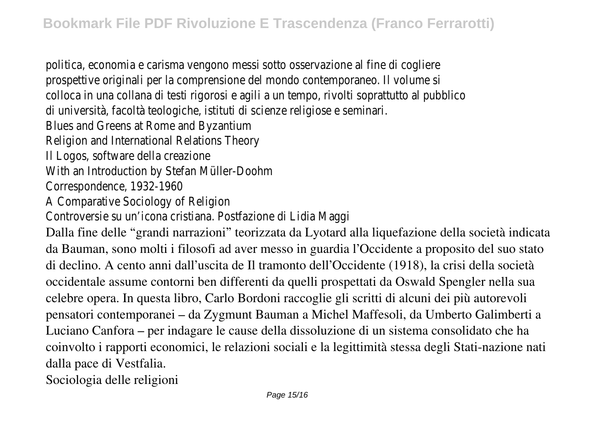politica, economia e carisma vengono messi sotto osservazione al fine di cogliere prospettive originali per la comprensione del mondo contemporaneo. Il volume si colloca in una collana di testi rigorosi e agili a un tempo, rivolti soprattutto al pubblico di università, facoltà teologiche, istituti di scienze religiose e seminari. Blues and Greens at Rome and Byzantium Religion and International Relations Theory Il Logos, software della creazione With an Introduction by Stefan Müller-Doohm Correspondence, 1932-1960 A Comparative Sociology of Religion Controversie su un'icona cristiana. Postfazione di Lidia Maggi Dalla fine delle "grandi narrazioni" teorizzata da Lyotard alla liquefazione della società indicata da Bauman, sono molti i filosofi ad aver messo in guardia l'Occidente a proposito del suo stato di declino. A cento anni dall'uscita de Il tramonto dell'Occidente (1918), la crisi della società occidentale assume contorni ben differenti da quelli prospettati da Oswald Spengler nella sua celebre opera. In questa libro, Carlo Bordoni raccoglie gli scritti di alcuni dei più autorevoli pensatori contemporanei – da Zygmunt Bauman a Michel Maffesoli, da Umberto Galimberti a Luciano Canfora – per indagare le cause della dissoluzione di un sistema consolidato che ha coinvolto i rapporti economici, le relazioni sociali e la legittimità stessa degli Stati-nazione nati dalla pace di Vestfalia.

Sociologia delle religioni